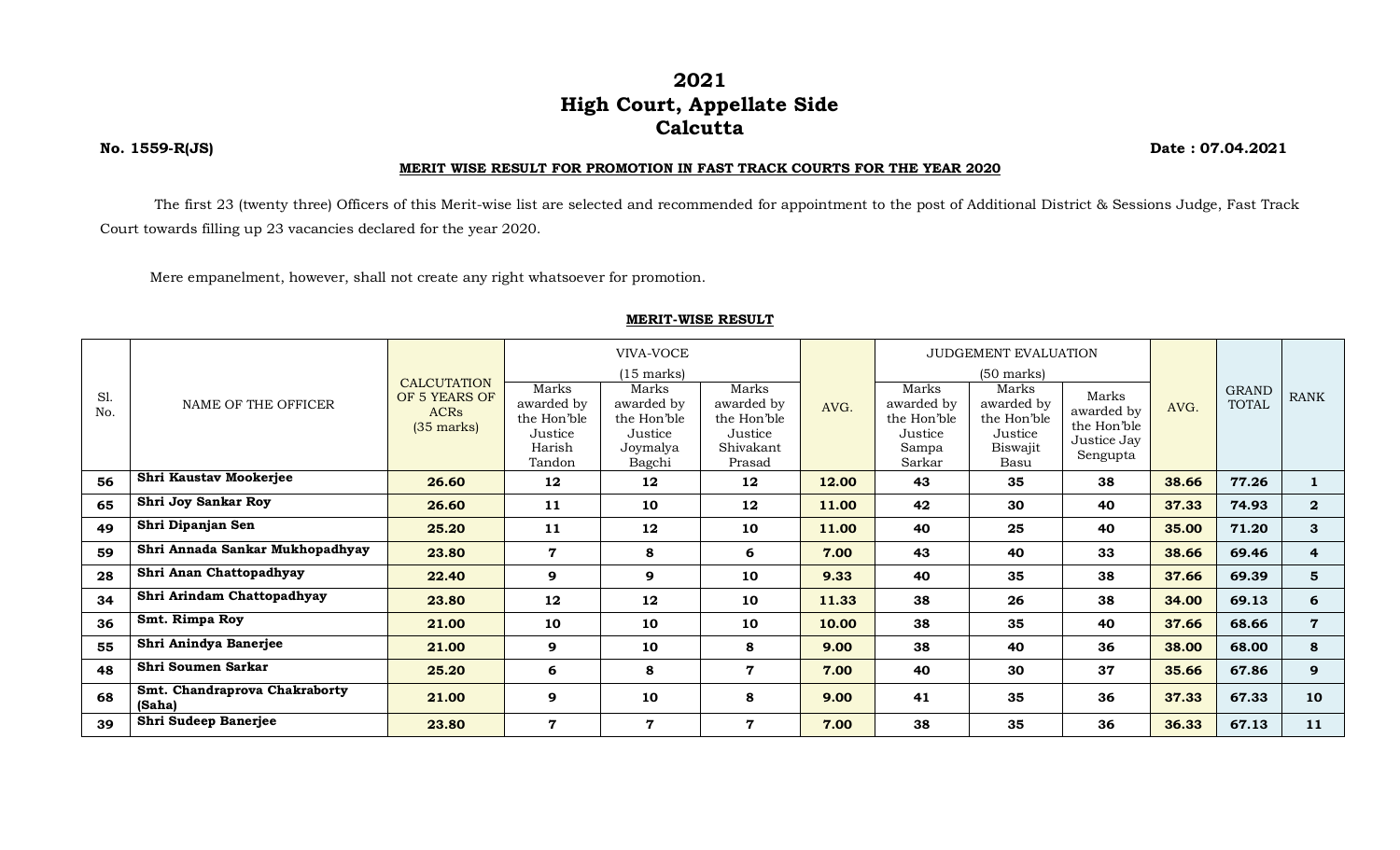## **2021 High Court, Appellate Side Calcutta**

**No. 1559-R(JS) Date : 07.04.2021**

## **MERIT WISE RESULT FOR PROMOTION IN FAST TRACK COURTS FOR THE YEAR 2020**

The first 23 (twenty three) Officers of this Merit-wise list are selected and recommended for appointment to the post of Additional District & Sessions Judge, Fast Track Court towards filling up 23 vacancies declared for the year 2020.

Mere empanelment, however, shall not create any right whatsoever for promotion.

## **MERIT-WISE RESULT**

|            |                                         | <b>CALCUTATION</b>                                   | VIVA-VOCE                                                         |                                                                     |                                                                      |       | JUDGEMENT EVALUATION                                             |                                                                   |                                                               |       |                              |                |
|------------|-----------------------------------------|------------------------------------------------------|-------------------------------------------------------------------|---------------------------------------------------------------------|----------------------------------------------------------------------|-------|------------------------------------------------------------------|-------------------------------------------------------------------|---------------------------------------------------------------|-------|------------------------------|----------------|
|            |                                         |                                                      | $(15$ marks)                                                      |                                                                     |                                                                      |       | $(50 \text{ marks})$                                             |                                                                   |                                                               |       |                              |                |
| S1.<br>No. | NAME OF THE OFFICER                     | OF 5 YEARS OF<br><b>ACRs</b><br>$(35 \text{ marks})$ | Marks<br>awarded by<br>the Hon'ble<br>Justice<br>Harish<br>Tandon | Marks<br>awarded by<br>the Hon'ble<br>Justice<br>Joymalya<br>Bagchi | Marks<br>awarded by<br>the Hon'ble<br>Justice<br>Shivakant<br>Prasad | AVG.  | Marks<br>awarded by<br>the Hon'ble<br>Justice<br>Sampa<br>Sarkar | Marks<br>awarded by<br>the Hon'ble<br>Justice<br>Biswajit<br>Basu | Marks<br>awarded by<br>the Hon'ble<br>Justice Jay<br>Sengupta | AVG.  | <b>GRAND</b><br><b>TOTAL</b> | <b>RANK</b>    |
| 56         | Shri Kaustav Mookerjee                  | 26.60                                                | 12                                                                | 12                                                                  | 12                                                                   | 12.00 | 43                                                               | 35                                                                | 38                                                            | 38.66 | 77.26                        | $\mathbf{1}$   |
| 65         | Shri Joy Sankar Roy                     | 26.60                                                | 11                                                                | 10                                                                  | 12                                                                   | 11.00 | 42                                                               | 30                                                                | 40                                                            | 37.33 | 74.93                        | $\mathbf{2}$   |
| 49         | Shri Dipanjan Sen                       | 25.20                                                | 11                                                                | 12                                                                  | 10                                                                   | 11.00 | 40                                                               | 25                                                                | 40                                                            | 35.00 | 71.20                        | 3              |
| 59         | Shri Annada Sankar Mukhopadhyay         | 23.80                                                | 7                                                                 | 8                                                                   | 6                                                                    | 7.00  | 43                                                               | 40                                                                | 33                                                            | 38.66 | 69.46                        | 4              |
| 28         | Shri Anan Chattopadhyay                 | 22.40                                                | 9                                                                 | 9                                                                   | 10                                                                   | 9.33  | 40                                                               | 35                                                                | 38                                                            | 37.66 | 69.39                        | 5              |
| 34         | Shri Arindam Chattopadhyay              | 23.80                                                | 12                                                                | 12                                                                  | 10                                                                   | 11.33 | 38                                                               | 26                                                                | 38                                                            | 34.00 | 69.13                        | 6              |
| 36         | Smt. Rimpa Roy                          | 21.00                                                | 10                                                                | 10                                                                  | 10                                                                   | 10.00 | 38                                                               | 35                                                                | 40                                                            | 37.66 | 68.66                        | $\overline{7}$ |
| 55         | Shri Anindya Banerjee                   | 21.00                                                | 9                                                                 | 10                                                                  | 8                                                                    | 9.00  | 38                                                               | 40                                                                | 36                                                            | 38.00 | 68.00                        | 8              |
| 48         | Shri Soumen Sarkar                      | 25.20                                                | 6                                                                 | 8                                                                   | $\overline{7}$                                                       | 7.00  | 40                                                               | 30                                                                | 37                                                            | 35.66 | 67.86                        | 9              |
| 68         | Smt. Chandraprova Chakraborty<br>(Saha) | 21.00                                                | 9                                                                 | 10                                                                  | 8                                                                    | 9.00  | 41                                                               | 35                                                                | 36                                                            | 37.33 | 67.33                        | 10             |
| 39         | Shri Sudeep Banerjee                    | 23.80                                                | 7                                                                 | $\mathbf 7$                                                         | $\mathbf{7}$                                                         | 7.00  | 38                                                               | 35                                                                | 36                                                            | 36.33 | 67.13                        | 11             |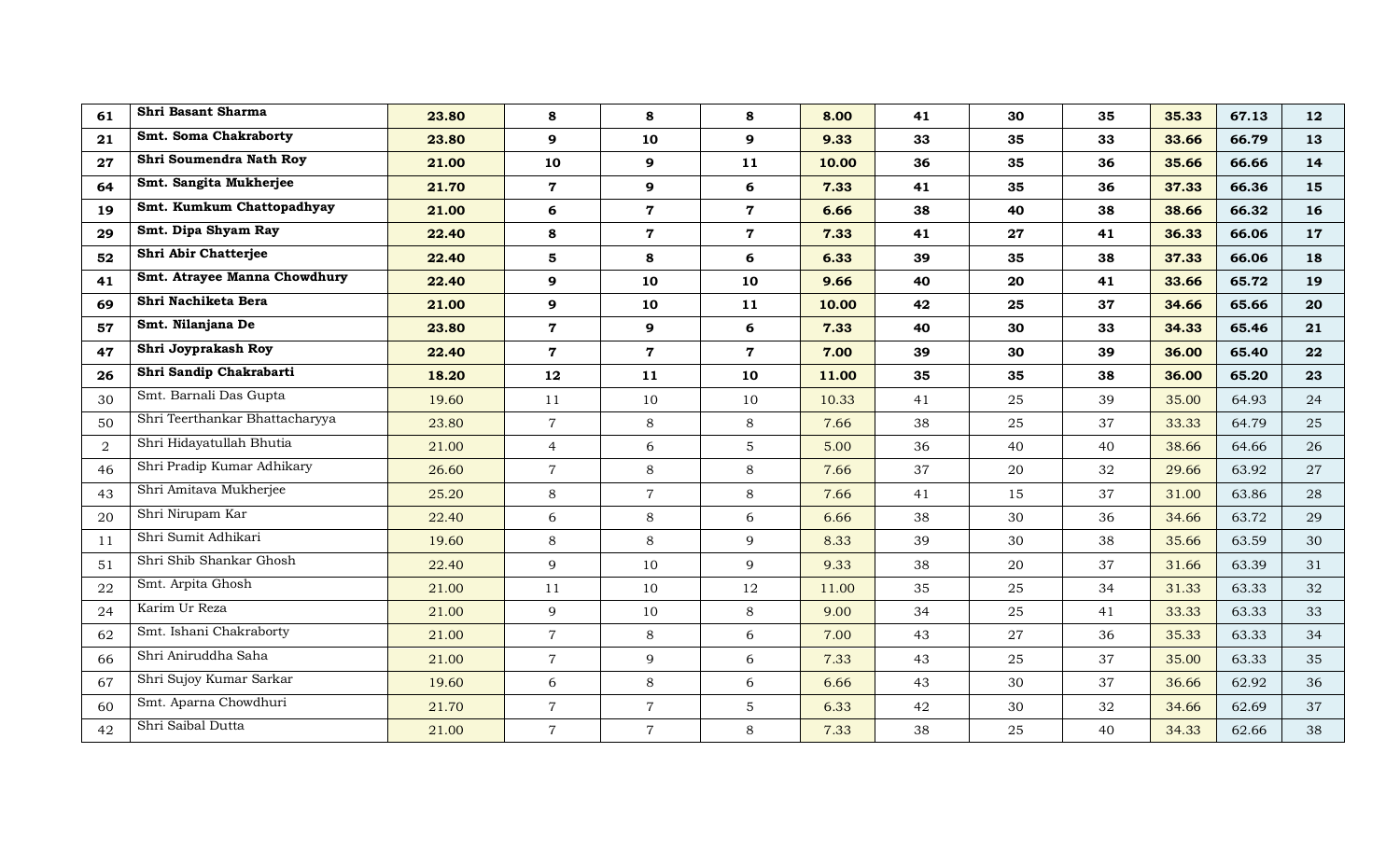| 61 | Shri Basant Sharma             | 23.80 | 8              | 8              | 8              | 8.00  | 41 | 30 | 35 | 35.33 | 67.13 | 12 |
|----|--------------------------------|-------|----------------|----------------|----------------|-------|----|----|----|-------|-------|----|
| 21 | Smt. Soma Chakraborty          | 23.80 | 9              | 10             | 9              | 9.33  | 33 | 35 | 33 | 33.66 | 66.79 | 13 |
| 27 | Shri Soumendra Nath Roy        | 21.00 | 10             | 9              | 11             | 10.00 | 36 | 35 | 36 | 35.66 | 66.66 | 14 |
| 64 | Smt. Sangita Mukherjee         | 21.70 | $\mathbf 7$    | 9              | 6              | 7.33  | 41 | 35 | 36 | 37.33 | 66.36 | 15 |
| 19 | Smt. Kumkum Chattopadhyay      | 21.00 | 6              | $\mathbf 7$    | $\overline{7}$ | 6.66  | 38 | 40 | 38 | 38.66 | 66.32 | 16 |
| 29 | Smt. Dipa Shyam Ray            | 22.40 | 8              | $\overline{7}$ | $\mathbf 7$    | 7.33  | 41 | 27 | 41 | 36.33 | 66.06 | 17 |
| 52 | Shri Abir Chatterjee           | 22.40 | 5              | 8              | 6              | 6.33  | 39 | 35 | 38 | 37.33 | 66.06 | 18 |
| 41 | Smt. Atrayee Manna Chowdhury   | 22.40 | 9              | 10             | 10             | 9.66  | 40 | 20 | 41 | 33.66 | 65.72 | 19 |
| 69 | Shri Nachiketa Bera            | 21.00 | $\mathbf{9}$   | 10             | 11             | 10.00 | 42 | 25 | 37 | 34.66 | 65.66 | 20 |
| 57 | Smt. Nilanjana De              | 23.80 | $\mathbf 7$    | 9              | 6              | 7.33  | 40 | 30 | 33 | 34.33 | 65.46 | 21 |
| 47 | Shri Joyprakash Roy            | 22.40 | $\mathbf 7$    | $\mathbf 7$    | $\mathbf 7$    | 7.00  | 39 | 30 | 39 | 36.00 | 65.40 | 22 |
| 26 | Shri Sandip Chakrabarti        | 18.20 | 12             | 11             | 10             | 11.00 | 35 | 35 | 38 | 36.00 | 65.20 | 23 |
| 30 | Smt. Barnali Das Gupta         | 19.60 | 11             | 10             | 10             | 10.33 | 41 | 25 | 39 | 35.00 | 64.93 | 24 |
| 50 | Shri Teerthankar Bhattacharyya | 23.80 | $\overline{7}$ | 8              | 8              | 7.66  | 38 | 25 | 37 | 33.33 | 64.79 | 25 |
| 2  | Shri Hidayatullah Bhutia       | 21.00 | $\overline{4}$ | 6              | $5\phantom{.}$ | 5.00  | 36 | 40 | 40 | 38.66 | 64.66 | 26 |
| 46 | Shri Pradip Kumar Adhikary     | 26.60 | $\overline{7}$ | 8              | 8              | 7.66  | 37 | 20 | 32 | 29.66 | 63.92 | 27 |
| 43 | Shri Amitava Mukherjee         | 25.20 | 8              | $\overline{7}$ | 8              | 7.66  | 41 | 15 | 37 | 31.00 | 63.86 | 28 |
| 20 | Shri Nirupam Kar               | 22.40 | 6              | 8              | 6              | 6.66  | 38 | 30 | 36 | 34.66 | 63.72 | 29 |
| 11 | Shri Sumit Adhikari            | 19.60 | 8              | 8              | 9              | 8.33  | 39 | 30 | 38 | 35.66 | 63.59 | 30 |
| 51 | Shri Shib Shankar Ghosh        | 22.40 | 9              | 10             | 9              | 9.33  | 38 | 20 | 37 | 31.66 | 63.39 | 31 |
| 22 | Smt. Arpita Ghosh              | 21.00 | 11             | 10             | 12             | 11.00 | 35 | 25 | 34 | 31.33 | 63.33 | 32 |
| 24 | Karim Ur Reza                  | 21.00 | 9              | 10             | 8              | 9.00  | 34 | 25 | 41 | 33.33 | 63.33 | 33 |
| 62 | Smt. Ishani Chakraborty        | 21.00 | $\overline{7}$ | 8              | 6              | 7.00  | 43 | 27 | 36 | 35.33 | 63.33 | 34 |
| 66 | Shri Aniruddha Saha            | 21.00 | $\overline{7}$ | 9              | 6              | 7.33  | 43 | 25 | 37 | 35.00 | 63.33 | 35 |
| 67 | Shri Sujoy Kumar Sarkar        | 19.60 | 6              | 8              | 6              | 6.66  | 43 | 30 | 37 | 36.66 | 62.92 | 36 |
| 60 | Smt. Aparna Chowdhuri          | 21.70 | $\overline{7}$ | $\overline{7}$ | $5\phantom{.}$ | 6.33  | 42 | 30 | 32 | 34.66 | 62.69 | 37 |
| 42 | Shri Saibal Dutta              | 21.00 | $\overline{7}$ | $\overline{7}$ | 8              | 7.33  | 38 | 25 | 40 | 34.33 | 62.66 | 38 |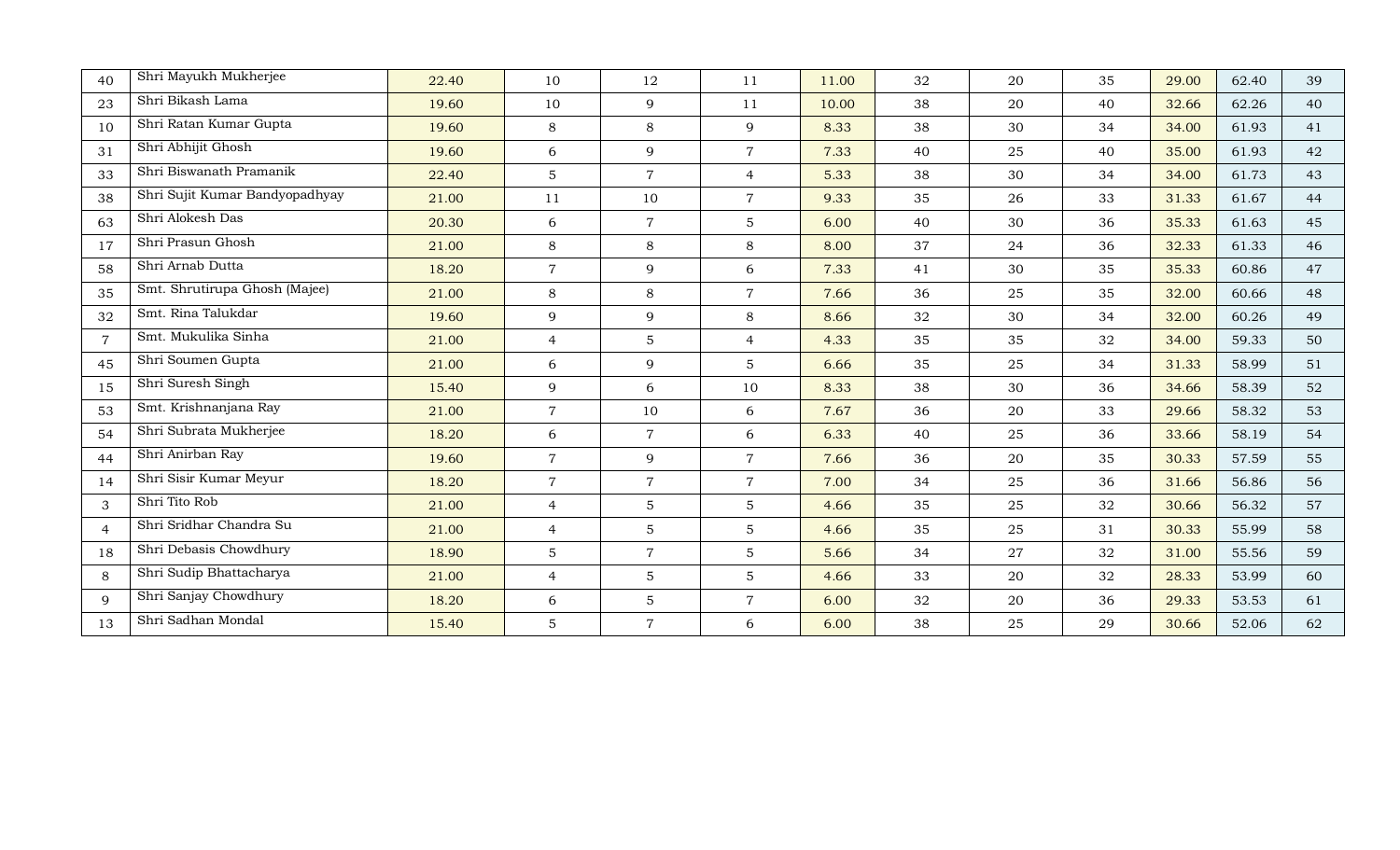| 40             | Shri Mayukh Mukherjee          | 22.40 | 10             | 12             | 11             | 11.00 | 32 | 20 | 35 | 29.00 | 62.40 | 39 |
|----------------|--------------------------------|-------|----------------|----------------|----------------|-------|----|----|----|-------|-------|----|
| 23             | Shri Bikash Lama               | 19.60 | 10             | 9              | 11             | 10.00 | 38 | 20 | 40 | 32.66 | 62.26 | 40 |
| 10             | Shri Ratan Kumar Gupta         | 19.60 | 8              | 8              | 9              | 8.33  | 38 | 30 | 34 | 34.00 | 61.93 | 41 |
| 31             | Shri Abhijit Ghosh             | 19.60 | 6              | 9              | $\overline{7}$ | 7.33  | 40 | 25 | 40 | 35.00 | 61.93 | 42 |
| 33             | Shri Biswanath Pramanik        | 22.40 | $5\phantom{.}$ | $\overline{7}$ | $\overline{4}$ | 5.33  | 38 | 30 | 34 | 34.00 | 61.73 | 43 |
| 38             | Shri Sujit Kumar Bandyopadhyay | 21.00 | 11             | 10             | $\overline{7}$ | 9.33  | 35 | 26 | 33 | 31.33 | 61.67 | 44 |
| 63             | Shri Alokesh Das               | 20.30 | 6              | $\overline{7}$ | 5              | 6.00  | 40 | 30 | 36 | 35.33 | 61.63 | 45 |
| 17             | Shri Prasun Ghosh              | 21.00 | $8\,$          | 8              | 8              | 8.00  | 37 | 24 | 36 | 32.33 | 61.33 | 46 |
| 58             | Shri Arnab Dutta               | 18.20 | $\overline{7}$ | 9              | 6              | 7.33  | 41 | 30 | 35 | 35.33 | 60.86 | 47 |
| 35             | Smt. Shrutirupa Ghosh (Majee)  | 21.00 | $8\,$          | 8              | $\overline{7}$ | 7.66  | 36 | 25 | 35 | 32.00 | 60.66 | 48 |
| 32             | Smt. Rina Talukdar             | 19.60 | 9              | 9              | 8              | 8.66  | 32 | 30 | 34 | 32.00 | 60.26 | 49 |
| $\overline{7}$ | Smt. Mukulika Sinha            | 21.00 | $\overline{4}$ | $\overline{5}$ | $\overline{4}$ | 4.33  | 35 | 35 | 32 | 34.00 | 59.33 | 50 |
| 45             | Shri Soumen Gupta              | 21.00 | 6              | 9              | $\overline{5}$ | 6.66  | 35 | 25 | 34 | 31.33 | 58.99 | 51 |
| 15             | Shri Suresh Singh              | 15.40 | 9              | 6              | 10             | 8.33  | 38 | 30 | 36 | 34.66 | 58.39 | 52 |
| 53             | Smt. Krishnanjana Ray          | 21.00 | $\overline{7}$ | 10             | 6              | 7.67  | 36 | 20 | 33 | 29.66 | 58.32 | 53 |
| 54             | Shri Subrata Mukherjee         | 18.20 | 6              | $\overline{7}$ | 6              | 6.33  | 40 | 25 | 36 | 33.66 | 58.19 | 54 |
| 44             | Shri Anirban Ray               | 19.60 | $\overline{7}$ | 9              | $\overline{7}$ | 7.66  | 36 | 20 | 35 | 30.33 | 57.59 | 55 |
| 14             | Shri Sisir Kumar Meyur         | 18.20 | $\overline{7}$ | $\overline{7}$ | $\overline{7}$ | 7.00  | 34 | 25 | 36 | 31.66 | 56.86 | 56 |
| 3              | Shri Tito Rob                  | 21.00 | $\overline{4}$ | $\overline{5}$ | 5              | 4.66  | 35 | 25 | 32 | 30.66 | 56.32 | 57 |
| $\overline{4}$ | Shri Sridhar Chandra Su        | 21.00 | $\overline{4}$ | 5              | $\overline{5}$ | 4.66  | 35 | 25 | 31 | 30.33 | 55.99 | 58 |
| 18             | Shri Debasis Chowdhury         | 18.90 | $\overline{5}$ | $\overline{7}$ | 5              | 5.66  | 34 | 27 | 32 | 31.00 | 55.56 | 59 |
| 8              | Shri Sudip Bhattacharya        | 21.00 | $\overline{4}$ | $\overline{5}$ | 5              | 4.66  | 33 | 20 | 32 | 28.33 | 53.99 | 60 |
| 9              | Shri Sanjay Chowdhury          | 18.20 | 6              | $5\phantom{.}$ | $\overline{7}$ | 6.00  | 32 | 20 | 36 | 29.33 | 53.53 | 61 |
| 13             | Shri Sadhan Mondal             | 15.40 | $\mathbf 5$    | $\overline{7}$ | 6              | 6.00  | 38 | 25 | 29 | 30.66 | 52.06 | 62 |